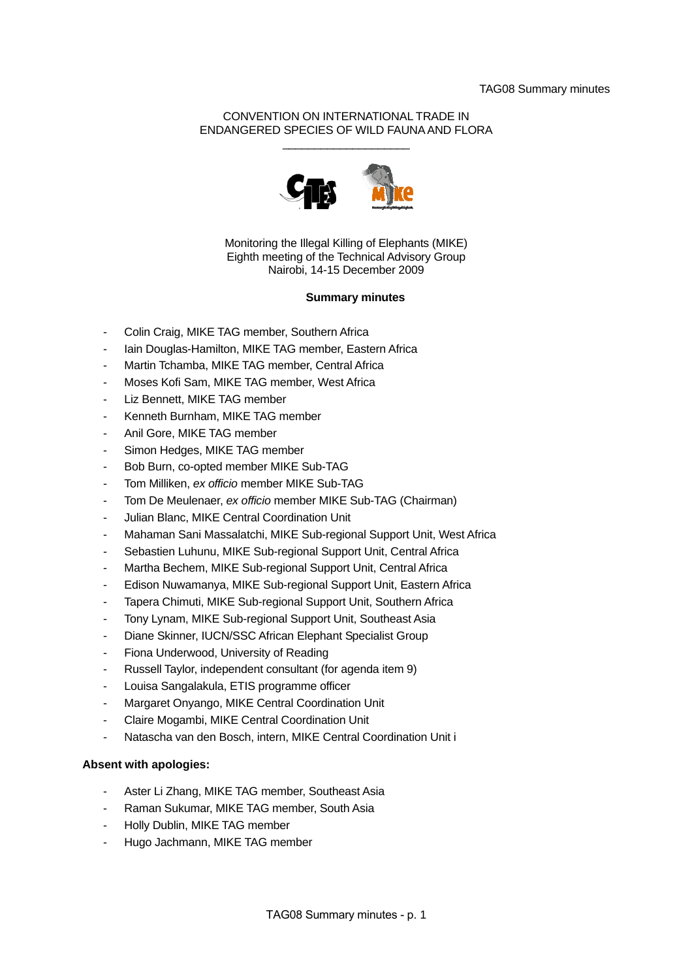## CONVENTION ON INTERNATIONAL TRADE IN ENDANGERED SPECIES OF WILD FAUNA AND FLORA \_\_\_\_\_\_\_\_\_\_\_\_\_\_\_\_\_\_\_\_



Monitoring the Illegal Killing of Elephants (MIKE) Eighth meeting of the Technical Advisory Group Nairobi, 14-15 December 2009

## **Summary minutes**

- Colin Craig, MIKE TAG member, Southern Africa
- Iain Douglas-Hamilton, MIKE TAG member, Eastern Africa
- Martin Tchamba, MIKE TAG member, Central Africa
- Moses Kofi Sam, MIKE TAG member, West Africa
- Liz Bennett, MIKE TAG member
- Kenneth Burnham, MIKE TAG member
- Anil Gore, MIKE TAG member
- Simon Hedges, MIKE TAG member
- Bob Burn, co-opted member MIKE Sub-TAG
- Tom Milliken, *ex officio* member MIKE Sub-TAG
- Tom De Meulenaer, *ex officio* member MIKE Sub-TAG (Chairman)
- Julian Blanc, MIKE Central Coordination Unit
- Mahaman Sani Massalatchi, MIKE Sub-regional Support Unit, West Africa
- Sebastien Luhunu, MIKE Sub-regional Support Unit, Central Africa
- Martha Bechem, MIKE Sub-regional Support Unit, Central Africa
- Edison Nuwamanya, MIKE Sub-regional Support Unit, Eastern Africa
- Tapera Chimuti, MIKE Sub-regional Support Unit, Southern Africa
- Tony Lynam, MIKE Sub-regional Support Unit, Southeast Asia
- Diane Skinner, IUCN/SSC African Elephant Specialist Group
- Fiona Underwood, University of Reading
- Russell Taylor, independent consultant (for agenda item 9)
- Louisa Sangalakula, ETIS programme officer
- Margaret Onyango, MIKE Central Coordination Unit
- Claire Mogambi, MIKE Central Coordination Unit
- Natascha van den Bosch, intern, MIKE Central Coordination Unit i

## **Absent with apologies:**

- Aster Li Zhang, MIKE TAG member, Southeast Asia
- Raman Sukumar, MIKE TAG member, South Asia
- Holly Dublin, MIKE TAG member
- Hugo Jachmann, MIKE TAG member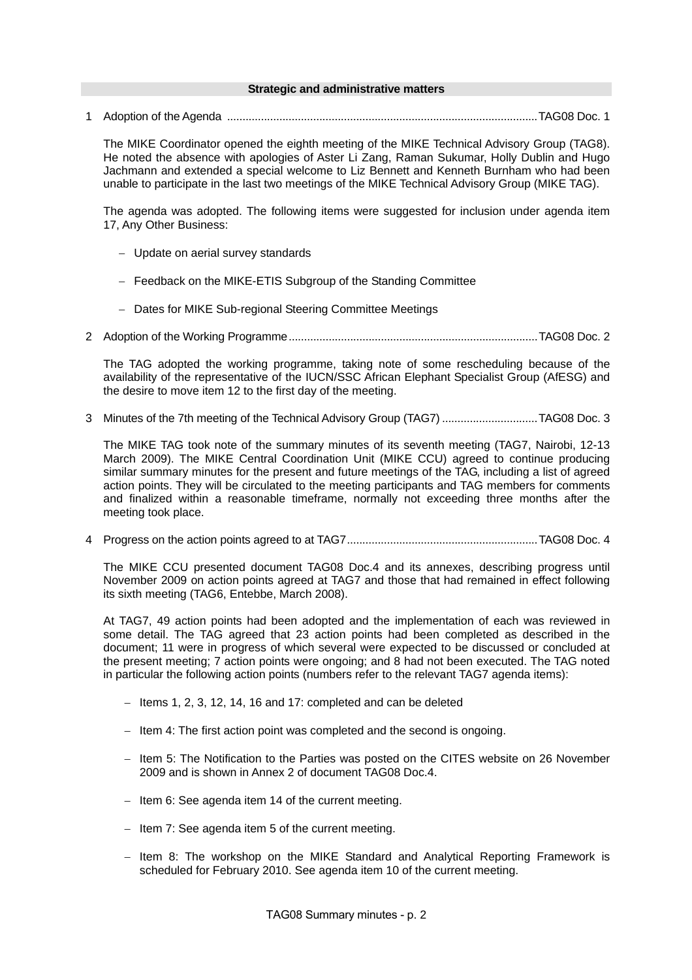#### **Strategic and administrative matters**

1 Adoption of the Agenda .....................................................................................................TAG08 Doc. 1

The MIKE Coordinator opened the eighth meeting of the MIKE Technical Advisory Group (TAG8). He noted the absence with apologies of Aster Li Zang, Raman Sukumar, Holly Dublin and Hugo Jachmann and extended a special welcome to Liz Bennett and Kenneth Burnham who had been unable to participate in the last two meetings of the MIKE Technical Advisory Group (MIKE TAG).

The agenda was adopted. The following items were suggested for inclusion under agenda item 17, Any Other Business:

- − Update on aerial survey standards
- − Feedback on the MIKE-ETIS Subgroup of the Standing Committee
- − Dates for MIKE Sub-regional Steering Committee Meetings
- 2 Adoption of the Working Programme.................................................................................TAG08 Doc. 2

The TAG adopted the working programme, taking note of some rescheduling because of the availability of the representative of the IUCN/SSC African Elephant Specialist Group (AfESG) and the desire to move item 12 to the first day of the meeting.

3 Minutes of the 7th meeting of the Technical Advisory Group (TAG7) ...............................TAG08 Doc. 3

The MIKE TAG took note of the summary minutes of its seventh meeting (TAG7, Nairobi, 12-13 March 2009). The MIKE Central Coordination Unit (MIKE CCU) agreed to continue producing similar summary minutes for the present and future meetings of the TAG, including a list of agreed action points. They will be circulated to the meeting participants and TAG members for comments and finalized within a reasonable timeframe, normally not exceeding three months after the meeting took place.

4 Progress on the action points agreed to at TAG7..............................................................TAG08 Doc. 4

The MIKE CCU presented document TAG08 Doc.4 and its annexes, describing progress until November 2009 on action points agreed at TAG7 and those that had remained in effect following its sixth meeting (TAG6, Entebbe, March 2008).

At TAG7, 49 action points had been adopted and the implementation of each was reviewed in some detail. The TAG agreed that 23 action points had been completed as described in the document; 11 were in progress of which several were expected to be discussed or concluded at the present meeting; 7 action points were ongoing; and 8 had not been executed. The TAG noted in particular the following action points (numbers refer to the relevant TAG7 agenda items):

- − Items 1, 2, 3, 12, 14, 16 and 17: completed and can be deleted
- − Item 4: The first action point was completed and the second is ongoing.
- − Item 5: The Notification to the Parties was posted on the CITES website on 26 November 2009 and is shown in Annex 2 of document TAG08 Doc.4.
- − Item 6: See agenda item 14 of the current meeting.
- − Item 7: See agenda item 5 of the current meeting.
- − Item 8: The workshop on the MIKE Standard and Analytical Reporting Framework is scheduled for February 2010. See agenda item 10 of the current meeting.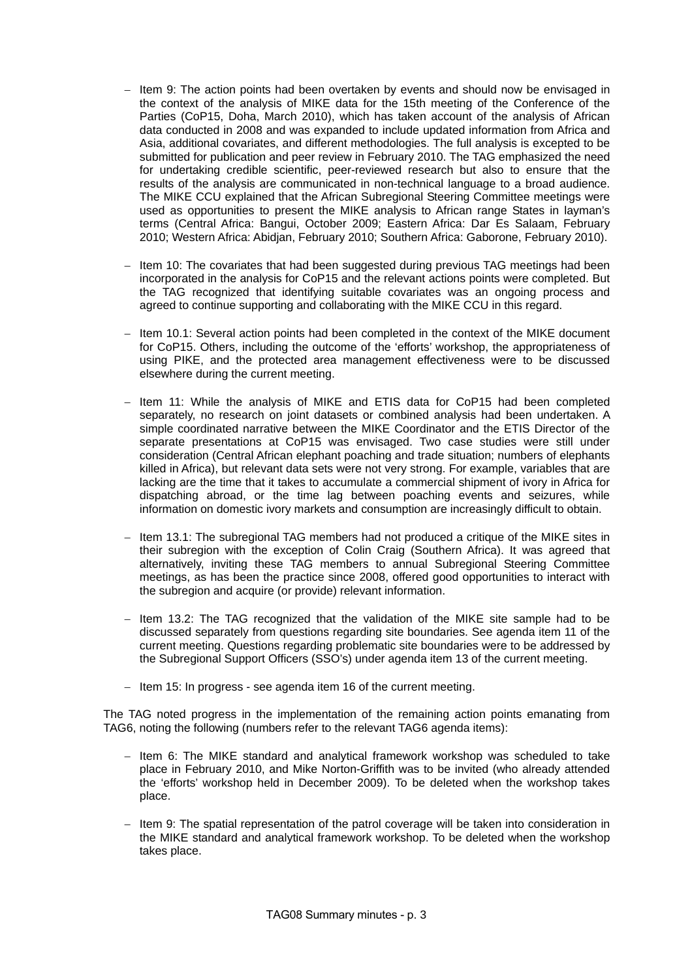- Htem 9: The action points had been overtaken by events and should now be envisaged in the context of the analysis of MIKE data for the 15th meeting of the Conference of the Parties (CoP15, Doha, March 2010), which has taken account of the analysis of African data conducted in 2008 and was expanded to include updated information from Africa and Asia, additional covariates, and different methodologies. The full analysis is excepted to be submitted for publication and peer review in February 2010. The TAG emphasized the need for undertaking credible scientific, peer-reviewed research but also to ensure that the results of the analysis are communicated in non-technical language to a broad audience. The MIKE CCU explained that the African Subregional Steering Committee meetings were used as opportunities to present the MIKE analysis to African range States in layman's terms (Central Africa: Bangui, October 2009; Eastern Africa: Dar Es Salaam, February 2010; Western Africa: Abidjan, February 2010; Southern Africa: Gaborone, February 2010).
- Hem 10: The covariates that had been suggested during previous TAG meetings had been incorporated in the analysis for CoP15 and the relevant actions points were completed. But the TAG recognized that identifying suitable covariates was an ongoing process and agreed to continue supporting and collaborating with the MIKE CCU in this regard.
- − Item 10.1: Several action points had been completed in the context of the MIKE document for CoP15. Others, including the outcome of the 'efforts' workshop, the appropriateness of using PIKE, and the protected area management effectiveness were to be discussed elsewhere during the current meeting.
- − Item 11: While the analysis of MIKE and ETIS data for CoP15 had been completed separately, no research on joint datasets or combined analysis had been undertaken. A simple coordinated narrative between the MIKE Coordinator and the ETIS Director of the separate presentations at CoP15 was envisaged. Two case studies were still under consideration (Central African elephant poaching and trade situation; numbers of elephants killed in Africa), but relevant data sets were not very strong. For example, variables that are lacking are the time that it takes to accumulate a commercial shipment of ivory in Africa for dispatching abroad, or the time lag between poaching events and seizures, while information on domestic ivory markets and consumption are increasingly difficult to obtain.
- Htem 13.1: The subregional TAG members had not produced a critique of the MIKE sites in their subregion with the exception of Colin Craig (Southern Africa). It was agreed that alternatively, inviting these TAG members to annual Subregional Steering Committee meetings, as has been the practice since 2008, offered good opportunities to interact with the subregion and acquire (or provide) relevant information.
- − Item 13.2: The TAG recognized that the validation of the MIKE site sample had to be discussed separately from questions regarding site boundaries. See agenda item 11 of the current meeting. Questions regarding problematic site boundaries were to be addressed by the Subregional Support Officers (SSO's) under agenda item 13 of the current meeting.
- − Item 15: In progress see agenda item 16 of the current meeting.

The TAG noted progress in the implementation of the remaining action points emanating from TAG6, noting the following (numbers refer to the relevant TAG6 agenda items):

- − Item 6: The MIKE standard and analytical framework workshop was scheduled to take place in February 2010, and Mike Norton-Griffith was to be invited (who already attended the 'efforts' workshop held in December 2009). To be deleted when the workshop takes place.
- − Item 9: The spatial representation of the patrol coverage will be taken into consideration in the MIKE standard and analytical framework workshop. To be deleted when the workshop takes place.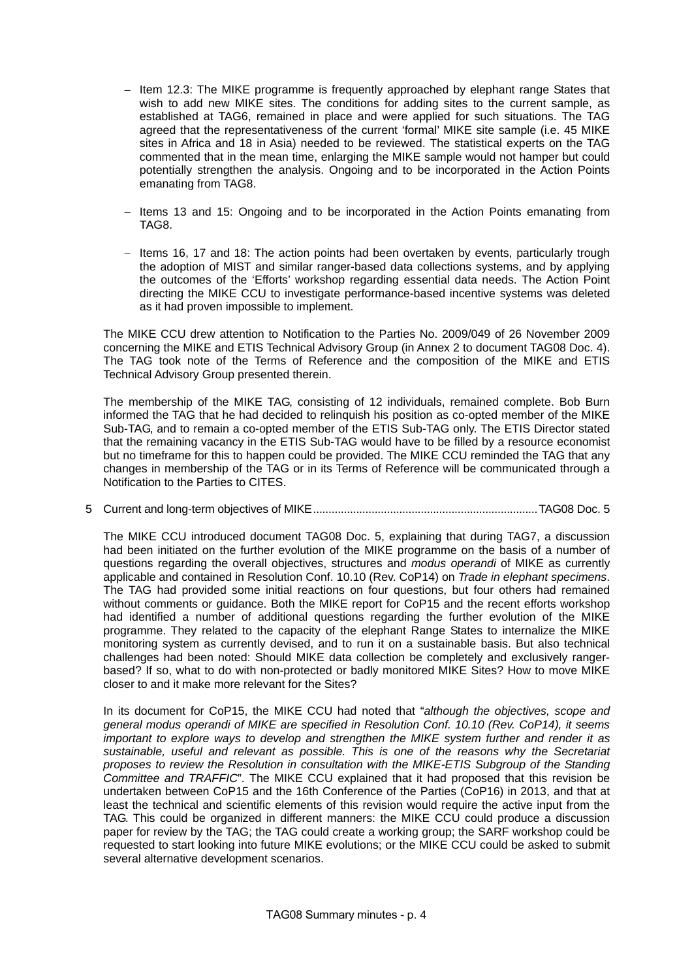- − Item 12.3: The MIKE programme is frequently approached by elephant range States that wish to add new MIKE sites. The conditions for adding sites to the current sample, as established at TAG6, remained in place and were applied for such situations. The TAG agreed that the representativeness of the current 'formal' MIKE site sample (i.e. 45 MIKE sites in Africa and 18 in Asia) needed to be reviewed. The statistical experts on the TAG commented that in the mean time, enlarging the MIKE sample would not hamper but could potentially strengthen the analysis. Ongoing and to be incorporated in the Action Points emanating from TAG8.
- − Items 13 and 15: Ongoing and to be incorporated in the Action Points emanating from TAG8.
- − Items 16, 17 and 18: The action points had been overtaken by events, particularly trough the adoption of MIST and similar ranger-based data collections systems, and by applying the outcomes of the 'Efforts' workshop regarding essential data needs. The Action Point directing the MIKE CCU to investigate performance-based incentive systems was deleted as it had proven impossible to implement.

The MIKE CCU drew attention to Notification to the Parties No. 2009/049 of 26 November 2009 concerning the MIKE and ETIS Technical Advisory Group (in Annex 2 to document TAG08 Doc. 4). The TAG took note of the Terms of Reference and the composition of the MIKE and ETIS Technical Advisory Group presented therein.

The membership of the MIKE TAG, consisting of 12 individuals, remained complete. Bob Burn informed the TAG that he had decided to relinquish his position as co-opted member of the MIKE Sub-TAG, and to remain a co-opted member of the ETIS Sub-TAG only. The ETIS Director stated that the remaining vacancy in the ETIS Sub-TAG would have to be filled by a resource economist but no timeframe for this to happen could be provided. The MIKE CCU reminded the TAG that any changes in membership of the TAG or in its Terms of Reference will be communicated through a Notification to the Parties to CITES.

5 Current and long-term objectives of MIKE.........................................................................TAG08 Doc. 5

The MIKE CCU introduced document TAG08 Doc. 5, explaining that during TAG7, a discussion had been initiated on the further evolution of the MIKE programme on the basis of a number of questions regarding the overall objectives, structures and *modus operandi* of MIKE as currently applicable and contained in Resolution Conf. 10.10 (Rev. CoP14) on *Trade in elephant specimens*. The TAG had provided some initial reactions on four questions, but four others had remained without comments or guidance. Both the MIKE report for CoP15 and the recent efforts workshop had identified a number of additional questions regarding the further evolution of the MIKE programme. They related to the capacity of the elephant Range States to internalize the MIKE monitoring system as currently devised, and to run it on a sustainable basis. But also technical challenges had been noted: Should MIKE data collection be completely and exclusively rangerbased? If so, what to do with non-protected or badly monitored MIKE Sites? How to move MIKE closer to and it make more relevant for the Sites?

In its document for CoP15, the MIKE CCU had noted that "*although the objectives, scope and general modus operandi of MIKE are specified in Resolution Conf. 10.10 (Rev. CoP14), it seems important to explore ways to develop and strengthen the MIKE system further and render it as sustainable, useful and relevant as possible. This is one of the reasons why the Secretariat proposes to review the Resolution in consultation with the MIKE-ETIS Subgroup of the Standing Committee and TRAFFIC*". The MIKE CCU explained that it had proposed that this revision be undertaken between CoP15 and the 16th Conference of the Parties (CoP16) in 2013, and that at least the technical and scientific elements of this revision would require the active input from the TAG. This could be organized in different manners: the MIKE CCU could produce a discussion paper for review by the TAG; the TAG could create a working group; the SARF workshop could be requested to start looking into future MIKE evolutions; or the MIKE CCU could be asked to submit several alternative development scenarios.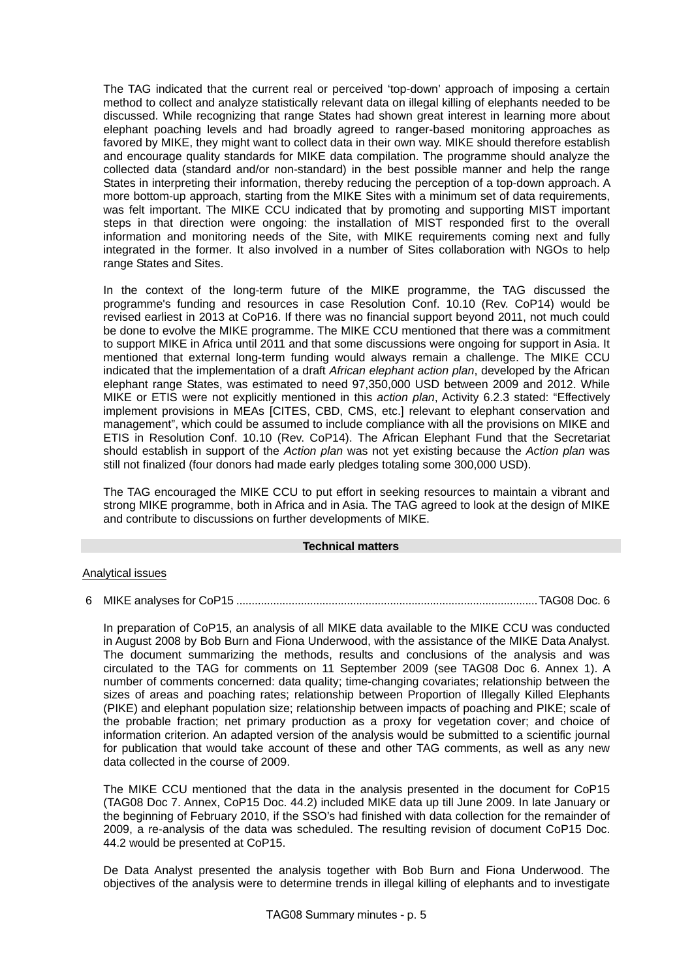The TAG indicated that the current real or perceived 'top-down' approach of imposing a certain method to collect and analyze statistically relevant data on illegal killing of elephants needed to be discussed. While recognizing that range States had shown great interest in learning more about elephant poaching levels and had broadly agreed to ranger-based monitoring approaches as favored by MIKE, they might want to collect data in their own way. MIKE should therefore establish and encourage quality standards for MIKE data compilation. The programme should analyze the collected data (standard and/or non-standard) in the best possible manner and help the range States in interpreting their information, thereby reducing the perception of a top-down approach. A more bottom-up approach, starting from the MIKE Sites with a minimum set of data requirements, was felt important. The MIKE CCU indicated that by promoting and supporting MIST important steps in that direction were ongoing: the installation of MIST responded first to the overall information and monitoring needs of the Site, with MIKE requirements coming next and fully integrated in the former. It also involved in a number of Sites collaboration with NGOs to help range States and Sites.

In the context of the long-term future of the MIKE programme, the TAG discussed the programme's funding and resources in case Resolution Conf. 10.10 (Rev. CoP14) would be revised earliest in 2013 at CoP16. If there was no financial support beyond 2011, not much could be done to evolve the MIKE programme. The MIKE CCU mentioned that there was a commitment to support MIKE in Africa until 2011 and that some discussions were ongoing for support in Asia. It mentioned that external long-term funding would always remain a challenge. The MIKE CCU indicated that the implementation of a draft *African elephant action plan*, developed by the African elephant range States, was estimated to need 97,350,000 USD between 2009 and 2012. While MIKE or ETIS were not explicitly mentioned in this *action plan*, Activity 6.2.3 stated: "Effectively implement provisions in MEAs [CITES, CBD, CMS, etc.] relevant to elephant conservation and management", which could be assumed to include compliance with all the provisions on MIKE and ETIS in Resolution Conf. 10.10 (Rev. CoP14). The African Elephant Fund that the Secretariat should establish in support of the *Action plan* was not yet existing because the *Action plan* was still not finalized (four donors had made early pledges totaling some 300,000 USD).

The TAG encouraged the MIKE CCU to put effort in seeking resources to maintain a vibrant and strong MIKE programme, both in Africa and in Asia. The TAG agreed to look at the design of MIKE and contribute to discussions on further developments of MIKE.

## **Technical matters**

## Analytical issues

6 MIKE analyses for CoP15 ..................................................................................................TAG08 Doc. 6

In preparation of CoP15, an analysis of all MIKE data available to the MIKE CCU was conducted in August 2008 by Bob Burn and Fiona Underwood, with the assistance of the MIKE Data Analyst. The document summarizing the methods, results and conclusions of the analysis and was circulated to the TAG for comments on 11 September 2009 (see TAG08 Doc 6. Annex 1). A number of comments concerned: data quality; time-changing covariates; relationship between the sizes of areas and poaching rates; relationship between Proportion of Illegally Killed Elephants (PIKE) and elephant population size; relationship between impacts of poaching and PIKE; scale of the probable fraction; net primary production as a proxy for vegetation cover; and choice of information criterion. An adapted version of the analysis would be submitted to a scientific journal for publication that would take account of these and other TAG comments, as well as any new data collected in the course of 2009.

The MIKE CCU mentioned that the data in the analysis presented in the document for CoP15 (TAG08 Doc 7. Annex, CoP15 Doc. 44.2) included MIKE data up till June 2009. In late January or the beginning of February 2010, if the SSO's had finished with data collection for the remainder of 2009, a re-analysis of the data was scheduled. The resulting revision of document CoP15 Doc. 44.2 would be presented at CoP15.

De Data Analyst presented the analysis together with Bob Burn and Fiona Underwood. The objectives of the analysis were to determine trends in illegal killing of elephants and to investigate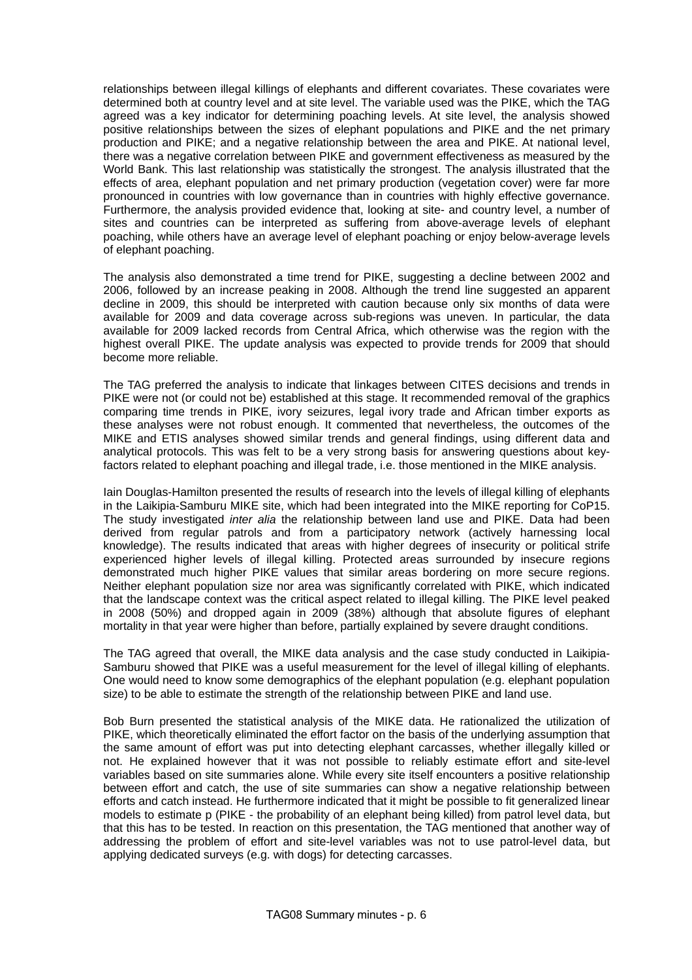relationships between illegal killings of elephants and different covariates. These covariates were determined both at country level and at site level. The variable used was the PIKE, which the TAG agreed was a key indicator for determining poaching levels. At site level, the analysis showed positive relationships between the sizes of elephant populations and PIKE and the net primary production and PIKE; and a negative relationship between the area and PIKE. At national level, there was a negative correlation between PIKE and government effectiveness as measured by the World Bank. This last relationship was statistically the strongest. The analysis illustrated that the effects of area, elephant population and net primary production (vegetation cover) were far more pronounced in countries with low governance than in countries with highly effective governance. Furthermore, the analysis provided evidence that, looking at site- and country level, a number of sites and countries can be interpreted as suffering from above-average levels of elephant poaching, while others have an average level of elephant poaching or enjoy below-average levels of elephant poaching.

The analysis also demonstrated a time trend for PIKE, suggesting a decline between 2002 and 2006, followed by an increase peaking in 2008. Although the trend line suggested an apparent decline in 2009, this should be interpreted with caution because only six months of data were available for 2009 and data coverage across sub-regions was uneven. In particular, the data available for 2009 lacked records from Central Africa, which otherwise was the region with the highest overall PIKE. The update analysis was expected to provide trends for 2009 that should become more reliable.

The TAG preferred the analysis to indicate that linkages between CITES decisions and trends in PIKE were not (or could not be) established at this stage. It recommended removal of the graphics comparing time trends in PIKE, ivory seizures, legal ivory trade and African timber exports as these analyses were not robust enough. It commented that nevertheless, the outcomes of the MIKE and ETIS analyses showed similar trends and general findings, using different data and analytical protocols. This was felt to be a very strong basis for answering questions about keyfactors related to elephant poaching and illegal trade, i.e. those mentioned in the MIKE analysis.

Iain Douglas-Hamilton presented the results of research into the levels of illegal killing of elephants in the Laikipia-Samburu MIKE site, which had been integrated into the MIKE reporting for CoP15. The study investigated *inter alia* the relationship between land use and PIKE. Data had been derived from regular patrols and from a participatory network (actively harnessing local knowledge). The results indicated that areas with higher degrees of insecurity or political strife experienced higher levels of illegal killing. Protected areas surrounded by insecure regions demonstrated much higher PIKE values that similar areas bordering on more secure regions. Neither elephant population size nor area was significantly correlated with PIKE, which indicated that the landscape context was the critical aspect related to illegal killing. The PIKE level peaked in 2008 (50%) and dropped again in 2009 (38%) although that absolute figures of elephant mortality in that year were higher than before, partially explained by severe draught conditions.

The TAG agreed that overall, the MIKE data analysis and the case study conducted in Laikipia-Samburu showed that PIKE was a useful measurement for the level of illegal killing of elephants. One would need to know some demographics of the elephant population (e.g. elephant population size) to be able to estimate the strength of the relationship between PIKE and land use.

Bob Burn presented the statistical analysis of the MIKE data. He rationalized the utilization of PIKE, which theoretically eliminated the effort factor on the basis of the underlying assumption that the same amount of effort was put into detecting elephant carcasses, whether illegally killed or not. He explained however that it was not possible to reliably estimate effort and site-level variables based on site summaries alone. While every site itself encounters a positive relationship between effort and catch, the use of site summaries can show a negative relationship between efforts and catch instead. He furthermore indicated that it might be possible to fit generalized linear models to estimate p (PIKE - the probability of an elephant being killed) from patrol level data, but that this has to be tested. In reaction on this presentation, the TAG mentioned that another way of addressing the problem of effort and site-level variables was not to use patrol-level data, but applying dedicated surveys (e.g. with dogs) for detecting carcasses.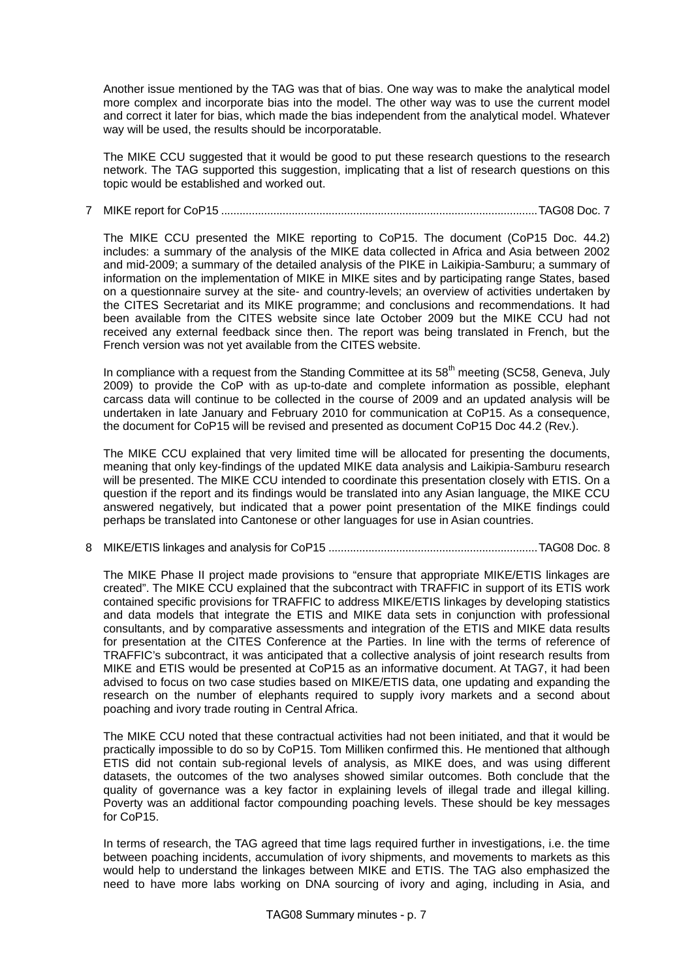Another issue mentioned by the TAG was that of bias. One way was to make the analytical model more complex and incorporate bias into the model. The other way was to use the current model and correct it later for bias, which made the bias independent from the analytical model. Whatever way will be used, the results should be incorporatable.

The MIKE CCU suggested that it would be good to put these research questions to the research network. The TAG supported this suggestion, implicating that a list of research questions on this topic would be established and worked out.

# 7 MIKE report for CoP15 .......................................................................................................TAG08 Doc. 7

The MIKE CCU presented the MIKE reporting to CoP15. The document (CoP15 Doc. 44.2) includes: a summary of the analysis of the MIKE data collected in Africa and Asia between 2002 and mid-2009; a summary of the detailed analysis of the PIKE in Laikipia-Samburu; a summary of information on the implementation of MIKE in MIKE sites and by participating range States, based on a questionnaire survey at the site- and country-levels; an overview of activities undertaken by the CITES Secretariat and its MIKE programme; and conclusions and recommendations. It had been available from the CITES website since late October 2009 but the MIKE CCU had not received any external feedback since then. The report was being translated in French, but the French version was not yet available from the CITES website.

In compliance with a request from the Standing Committee at its  $58<sup>th</sup>$  meeting (SC58, Geneva, July 2009) to provide the CoP with as up-to-date and complete information as possible, elephant carcass data will continue to be collected in the course of 2009 and an updated analysis will be undertaken in late January and February 2010 for communication at CoP15. As a consequence, the document for CoP15 will be revised and presented as document CoP15 Doc 44.2 (Rev.).

The MIKE CCU explained that very limited time will be allocated for presenting the documents, meaning that only key-findings of the updated MIKE data analysis and Laikipia-Samburu research will be presented. The MIKE CCU intended to coordinate this presentation closely with ETIS. On a question if the report and its findings would be translated into any Asian language, the MIKE CCU answered negatively, but indicated that a power point presentation of the MIKE findings could perhaps be translated into Cantonese or other languages for use in Asian countries.

8 MIKE/ETIS linkages and analysis for CoP15 ....................................................................TAG08 Doc. 8

The MIKE Phase II project made provisions to "ensure that appropriate MIKE/ETIS linkages are created". The MIKE CCU explained that the subcontract with TRAFFIC in support of its ETIS work contained specific provisions for TRAFFIC to address MIKE/ETIS linkages by developing statistics and data models that integrate the ETIS and MIKE data sets in conjunction with professional consultants, and by comparative assessments and integration of the ETIS and MIKE data results for presentation at the CITES Conference at the Parties. In line with the terms of reference of TRAFFIC's subcontract, it was anticipated that a collective analysis of joint research results from MIKE and ETIS would be presented at CoP15 as an informative document. At TAG7, it had been advised to focus on two case studies based on MIKE/ETIS data, one updating and expanding the research on the number of elephants required to supply ivory markets and a second about poaching and ivory trade routing in Central Africa.

The MIKE CCU noted that these contractual activities had not been initiated, and that it would be practically impossible to do so by CoP15. Tom Milliken confirmed this. He mentioned that although ETIS did not contain sub-regional levels of analysis, as MIKE does, and was using different datasets, the outcomes of the two analyses showed similar outcomes. Both conclude that the quality of governance was a key factor in explaining levels of illegal trade and illegal killing. Poverty was an additional factor compounding poaching levels. These should be key messages for CoP15.

In terms of research, the TAG agreed that time lags required further in investigations, i.e. the time between poaching incidents, accumulation of ivory shipments, and movements to markets as this would help to understand the linkages between MIKE and ETIS. The TAG also emphasized the need to have more labs working on DNA sourcing of ivory and aging, including in Asia, and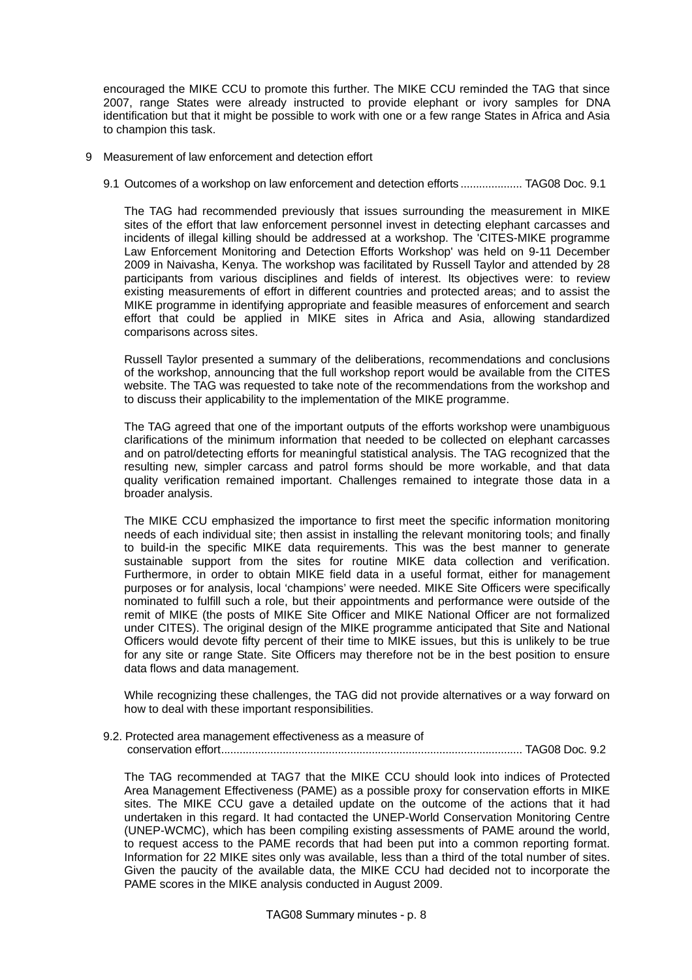encouraged the MIKE CCU to promote this further. The MIKE CCU reminded the TAG that since 2007, range States were already instructed to provide elephant or ivory samples for DNA identification but that it might be possible to work with one or a few range States in Africa and Asia to champion this task.

- 9 Measurement of law enforcement and detection effort
	- 9.1 Outcomes of a workshop on law enforcement and detection efforts .................... TAG08 Doc. 9.1

The TAG had recommended previously that issues surrounding the measurement in MIKE sites of the effort that law enforcement personnel invest in detecting elephant carcasses and incidents of illegal killing should be addressed at a workshop. The 'CITES-MIKE programme Law Enforcement Monitoring and Detection Efforts Workshop' was held on 9-11 December 2009 in Naivasha, Kenya. The workshop was facilitated by Russell Taylor and attended by 28 participants from various disciplines and fields of interest. Its objectives were: to review existing measurements of effort in different countries and protected areas; and to assist the MIKE programme in identifying appropriate and feasible measures of enforcement and search effort that could be applied in MIKE sites in Africa and Asia, allowing standardized comparisons across sites.

Russell Taylor presented a summary of the deliberations, recommendations and conclusions of the workshop, announcing that the full workshop report would be available from the CITES website. The TAG was requested to take note of the recommendations from the workshop and to discuss their applicability to the implementation of the MIKE programme.

The TAG agreed that one of the important outputs of the efforts workshop were unambiguous clarifications of the minimum information that needed to be collected on elephant carcasses and on patrol/detecting efforts for meaningful statistical analysis. The TAG recognized that the resulting new, simpler carcass and patrol forms should be more workable, and that data quality verification remained important. Challenges remained to integrate those data in a broader analysis.

The MIKE CCU emphasized the importance to first meet the specific information monitoring needs of each individual site; then assist in installing the relevant monitoring tools; and finally to build-in the specific MIKE data requirements. This was the best manner to generate sustainable support from the sites for routine MIKE data collection and verification. Furthermore, in order to obtain MIKE field data in a useful format, either for management purposes or for analysis, local 'champions' were needed. MIKE Site Officers were specifically nominated to fulfill such a role, but their appointments and performance were outside of the remit of MIKE (the posts of MIKE Site Officer and MIKE National Officer are not formalized under CITES). The original design of the MIKE programme anticipated that Site and National Officers would devote fifty percent of their time to MIKE issues, but this is unlikely to be true for any site or range State. Site Officers may therefore not be in the best position to ensure data flows and data management.

While recognizing these challenges, the TAG did not provide alternatives or a way forward on how to deal with these important responsibilities.

9.2. Protected area management effectiveness as a measure of conservation effort.................................................................................................. TAG08 Doc. 9.2

The TAG recommended at TAG7 that the MIKE CCU should look into indices of Protected Area Management Effectiveness (PAME) as a possible proxy for conservation efforts in MIKE sites. The MIKE CCU gave a detailed update on the outcome of the actions that it had undertaken in this regard. It had contacted the UNEP-World Conservation Monitoring Centre (UNEP-WCMC), which has been compiling existing assessments of PAME around the world, to request access to the PAME records that had been put into a common reporting format. Information for 22 MIKE sites only was available, less than a third of the total number of sites. Given the paucity of the available data, the MIKE CCU had decided not to incorporate the PAME scores in the MIKE analysis conducted in August 2009.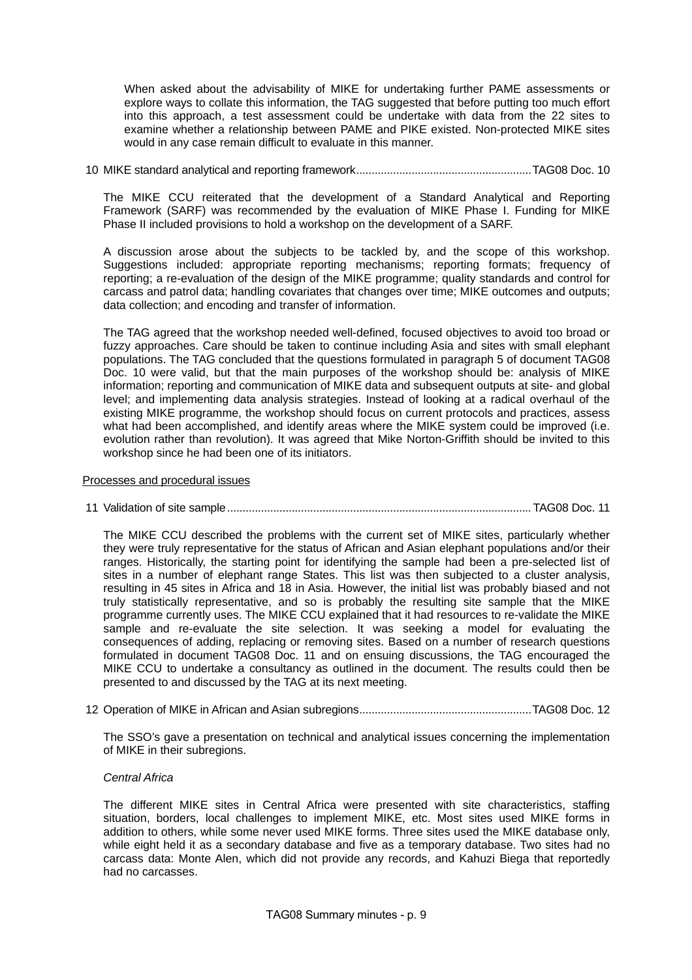When asked about the advisability of MIKE for undertaking further PAME assessments or explore ways to collate this information, the TAG suggested that before putting too much effort into this approach, a test assessment could be undertake with data from the 22 sites to examine whether a relationship between PAME and PIKE existed. Non-protected MIKE sites would in any case remain difficult to evaluate in this manner.

10 MIKE standard analytical and reporting framework.........................................................TAG08 Doc. 10

The MIKE CCU reiterated that the development of a Standard Analytical and Reporting Framework (SARF) was recommended by the evaluation of MIKE Phase I. Funding for MIKE Phase II included provisions to hold a workshop on the development of a SARF.

A discussion arose about the subjects to be tackled by, and the scope of this workshop. Suggestions included: appropriate reporting mechanisms; reporting formats; frequency of reporting; a re-evaluation of the design of the MIKE programme; quality standards and control for carcass and patrol data; handling covariates that changes over time; MIKE outcomes and outputs; data collection; and encoding and transfer of information.

The TAG agreed that the workshop needed well-defined, focused objectives to avoid too broad or fuzzy approaches. Care should be taken to continue including Asia and sites with small elephant populations. The TAG concluded that the questions formulated in paragraph 5 of document TAG08 Doc. 10 were valid, but that the main purposes of the workshop should be: analysis of MIKE information; reporting and communication of MIKE data and subsequent outputs at site- and global level; and implementing data analysis strategies. Instead of looking at a radical overhaul of the existing MIKE programme, the workshop should focus on current protocols and practices, assess what had been accomplished, and identify areas where the MIKE system could be improved (i.e. evolution rather than revolution). It was agreed that Mike Norton-Griffith should be invited to this workshop since he had been one of its initiators.

## Processes and procedural issues

## 11 Validation of site sample................................................................................................... TAG08 Doc. 11

The MIKE CCU described the problems with the current set of MIKE sites, particularly whether they were truly representative for the status of African and Asian elephant populations and/or their ranges. Historically, the starting point for identifying the sample had been a pre-selected list of sites in a number of elephant range States. This list was then subjected to a cluster analysis, resulting in 45 sites in Africa and 18 in Asia. However, the initial list was probably biased and not truly statistically representative, and so is probably the resulting site sample that the MIKE programme currently uses. The MIKE CCU explained that it had resources to re-validate the MIKE sample and re-evaluate the site selection. It was seeking a model for evaluating the consequences of adding, replacing or removing sites. Based on a number of research questions formulated in document TAG08 Doc. 11 and on ensuing discussions, the TAG encouraged the MIKE CCU to undertake a consultancy as outlined in the document. The results could then be presented to and discussed by the TAG at its next meeting.

12 Operation of MIKE in African and Asian subregions........................................................TAG08 Doc. 12

The SSO's gave a presentation on technical and analytical issues concerning the implementation of MIKE in their subregions.

## *Central Africa*

The different MIKE sites in Central Africa were presented with site characteristics, staffing situation, borders, local challenges to implement MIKE, etc. Most sites used MIKE forms in addition to others, while some never used MIKE forms. Three sites used the MIKE database only, while eight held it as a secondary database and five as a temporary database. Two sites had no carcass data: Monte Alen, which did not provide any records, and Kahuzi Biega that reportedly had no carcasses.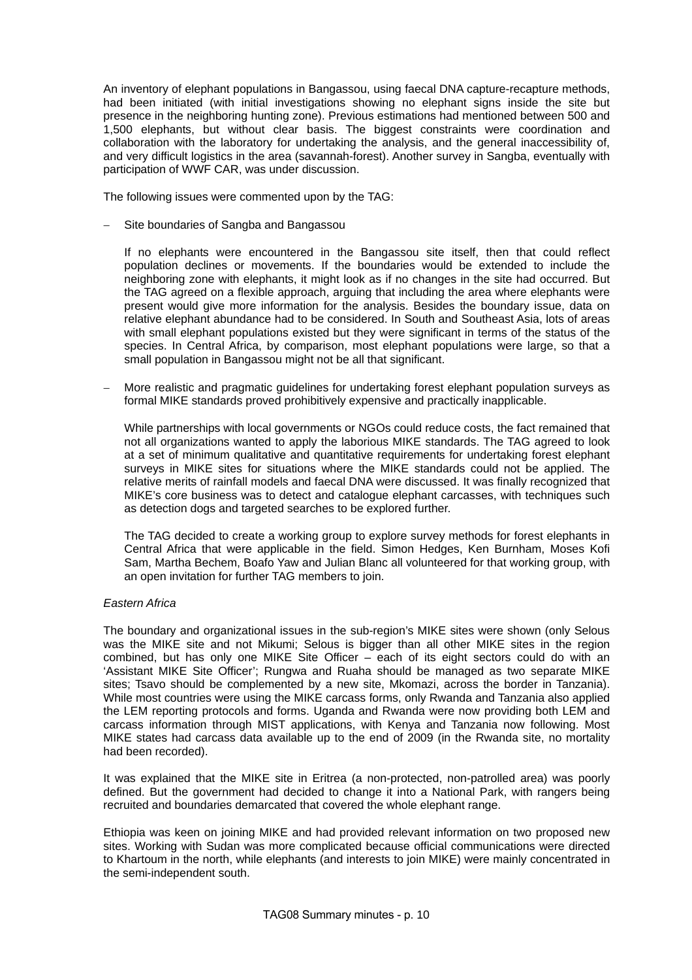An inventory of elephant populations in Bangassou, using faecal DNA capture-recapture methods, had been initiated (with initial investigations showing no elephant signs inside the site but presence in the neighboring hunting zone). Previous estimations had mentioned between 500 and 1,500 elephants, but without clear basis. The biggest constraints were coordination and collaboration with the laboratory for undertaking the analysis, and the general inaccessibility of, and very difficult logistics in the area (savannah-forest). Another survey in Sangba, eventually with participation of WWF CAR, was under discussion.

The following issues were commented upon by the TAG:

Site boundaries of Sangba and Bangassou

If no elephants were encountered in the Bangassou site itself, then that could reflect population declines or movements. If the boundaries would be extended to include the neighboring zone with elephants, it might look as if no changes in the site had occurred. But the TAG agreed on a flexible approach, arguing that including the area where elephants were present would give more information for the analysis. Besides the boundary issue, data on relative elephant abundance had to be considered. In South and Southeast Asia, lots of areas with small elephant populations existed but they were significant in terms of the status of the species. In Central Africa, by comparison, most elephant populations were large, so that a small population in Bangassou might not be all that significant.

− More realistic and pragmatic guidelines for undertaking forest elephant population surveys as formal MIKE standards proved prohibitively expensive and practically inapplicable.

While partnerships with local governments or NGOs could reduce costs, the fact remained that not all organizations wanted to apply the laborious MIKE standards. The TAG agreed to look at a set of minimum qualitative and quantitative requirements for undertaking forest elephant surveys in MIKE sites for situations where the MIKE standards could not be applied. The relative merits of rainfall models and faecal DNA were discussed. It was finally recognized that MIKE's core business was to detect and catalogue elephant carcasses, with techniques such as detection dogs and targeted searches to be explored further.

The TAG decided to create a working group to explore survey methods for forest elephants in Central Africa that were applicable in the field. Simon Hedges, Ken Burnham, Moses Kofi Sam, Martha Bechem, Boafo Yaw and Julian Blanc all volunteered for that working group, with an open invitation for further TAG members to join.

# *Eastern Africa*

The boundary and organizational issues in the sub-region's MIKE sites were shown (only Selous was the MIKE site and not Mikumi; Selous is bigger than all other MIKE sites in the region combined, but has only one MIKE Site Officer – each of its eight sectors could do with an 'Assistant MIKE Site Officer'; Rungwa and Ruaha should be managed as two separate MIKE sites; Tsavo should be complemented by a new site, Mkomazi, across the border in Tanzania). While most countries were using the MIKE carcass forms, only Rwanda and Tanzania also applied the LEM reporting protocols and forms. Uganda and Rwanda were now providing both LEM and carcass information through MIST applications, with Kenya and Tanzania now following. Most MIKE states had carcass data available up to the end of 2009 (in the Rwanda site, no mortality had been recorded).

It was explained that the MIKE site in Eritrea (a non-protected, non-patrolled area) was poorly defined. But the government had decided to change it into a National Park, with rangers being recruited and boundaries demarcated that covered the whole elephant range.

Ethiopia was keen on joining MIKE and had provided relevant information on two proposed new sites. Working with Sudan was more complicated because official communications were directed to Khartoum in the north, while elephants (and interests to join MIKE) were mainly concentrated in the semi-independent south.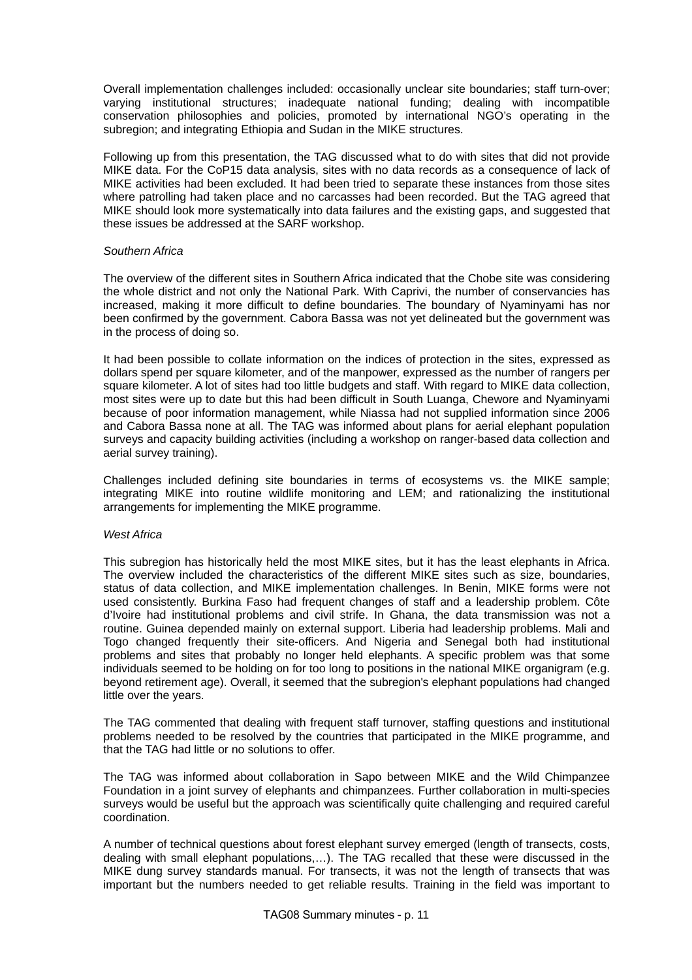Overall implementation challenges included: occasionally unclear site boundaries; staff turn-over; varying institutional structures; inadequate national funding; dealing with incompatible conservation philosophies and policies, promoted by international NGO's operating in the subregion; and integrating Ethiopia and Sudan in the MIKE structures.

Following up from this presentation, the TAG discussed what to do with sites that did not provide MIKE data. For the CoP15 data analysis, sites with no data records as a consequence of lack of MIKE activities had been excluded. It had been tried to separate these instances from those sites where patrolling had taken place and no carcasses had been recorded. But the TAG agreed that MIKE should look more systematically into data failures and the existing gaps, and suggested that these issues be addressed at the SARF workshop.

#### *Southern Africa*

The overview of the different sites in Southern Africa indicated that the Chobe site was considering the whole district and not only the National Park. With Caprivi, the number of conservancies has increased, making it more difficult to define boundaries. The boundary of Nyaminyami has nor been confirmed by the government. Cabora Bassa was not yet delineated but the government was in the process of doing so.

It had been possible to collate information on the indices of protection in the sites, expressed as dollars spend per square kilometer, and of the manpower, expressed as the number of rangers per square kilometer. A lot of sites had too little budgets and staff. With regard to MIKE data collection, most sites were up to date but this had been difficult in South Luanga, Chewore and Nyaminyami because of poor information management, while Niassa had not supplied information since 2006 and Cabora Bassa none at all. The TAG was informed about plans for aerial elephant population surveys and capacity building activities (including a workshop on ranger-based data collection and aerial survey training).

Challenges included defining site boundaries in terms of ecosystems vs. the MIKE sample; integrating MIKE into routine wildlife monitoring and LEM; and rationalizing the institutional arrangements for implementing the MIKE programme.

## *West Africa*

This subregion has historically held the most MIKE sites, but it has the least elephants in Africa. The overview included the characteristics of the different MIKE sites such as size, boundaries, status of data collection, and MIKE implementation challenges. In Benin, MIKE forms were not used consistently. Burkina Faso had frequent changes of staff and a leadership problem. Côte d'Ivoire had institutional problems and civil strife. In Ghana, the data transmission was not a routine. Guinea depended mainly on external support. Liberia had leadership problems. Mali and Togo changed frequently their site-officers. And Nigeria and Senegal both had institutional problems and sites that probably no longer held elephants. A specific problem was that some individuals seemed to be holding on for too long to positions in the national MIKE organigram (e.g. beyond retirement age). Overall, it seemed that the subregion's elephant populations had changed little over the years.

The TAG commented that dealing with frequent staff turnover, staffing questions and institutional problems needed to be resolved by the countries that participated in the MIKE programme, and that the TAG had little or no solutions to offer.

The TAG was informed about collaboration in Sapo between MIKE and the Wild Chimpanzee Foundation in a joint survey of elephants and chimpanzees. Further collaboration in multi-species surveys would be useful but the approach was scientifically quite challenging and required careful coordination.

A number of technical questions about forest elephant survey emerged (length of transects, costs, dealing with small elephant populations,…). The TAG recalled that these were discussed in the MIKE dung survey standards manual. For transects, it was not the length of transects that was important but the numbers needed to get reliable results. Training in the field was important to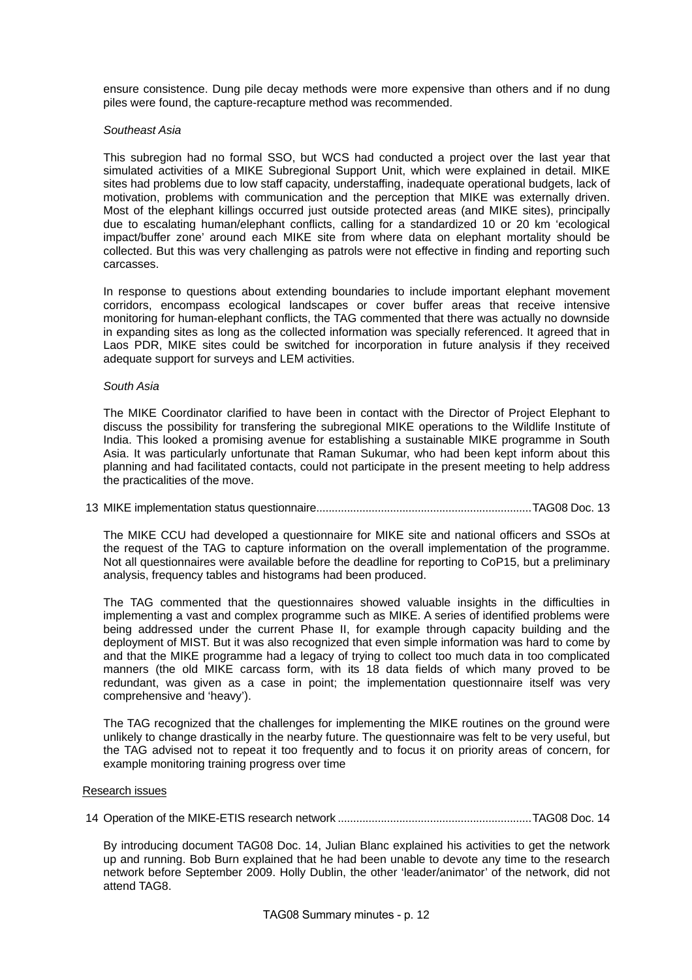ensure consistence. Dung pile decay methods were more expensive than others and if no dung piles were found, the capture-recapture method was recommended.

## *Southeast Asia*

This subregion had no formal SSO, but WCS had conducted a project over the last year that simulated activities of a MIKE Subregional Support Unit, which were explained in detail. MIKE sites had problems due to low staff capacity, understaffing, inadequate operational budgets, lack of motivation, problems with communication and the perception that MIKE was externally driven. Most of the elephant killings occurred just outside protected areas (and MIKE sites), principally due to escalating human/elephant conflicts, calling for a standardized 10 or 20 km 'ecological impact/buffer zone' around each MIKE site from where data on elephant mortality should be collected. But this was very challenging as patrols were not effective in finding and reporting such carcasses.

In response to questions about extending boundaries to include important elephant movement corridors, encompass ecological landscapes or cover buffer areas that receive intensive monitoring for human-elephant conflicts, the TAG commented that there was actually no downside in expanding sites as long as the collected information was specially referenced. It agreed that in Laos PDR, MIKE sites could be switched for incorporation in future analysis if they received adequate support for surveys and LEM activities.

## *South Asia*

The MIKE Coordinator clarified to have been in contact with the Director of Project Elephant to discuss the possibility for transfering the subregional MIKE operations to the Wildlife Institute of India. This looked a promising avenue for establishing a sustainable MIKE programme in South Asia. It was particularly unfortunate that Raman Sukumar, who had been kept inform about this planning and had facilitated contacts, could not participate in the present meeting to help address the practicalities of the move.

13 MIKE implementation status questionnaire......................................................................TAG08 Doc. 13

The MIKE CCU had developed a questionnaire for MIKE site and national officers and SSOs at the request of the TAG to capture information on the overall implementation of the programme. Not all questionnaires were available before the deadline for reporting to CoP15, but a preliminary analysis, frequency tables and histograms had been produced.

The TAG commented that the questionnaires showed valuable insights in the difficulties in implementing a vast and complex programme such as MIKE. A series of identified problems were being addressed under the current Phase II, for example through capacity building and the deployment of MIST. But it was also recognized that even simple information was hard to come by and that the MIKE programme had a legacy of trying to collect too much data in too complicated manners (the old MIKE carcass form, with its 18 data fields of which many proved to be redundant, was given as a case in point; the implementation questionnaire itself was very comprehensive and 'heavy').

The TAG recognized that the challenges for implementing the MIKE routines on the ground were unlikely to change drastically in the nearby future. The questionnaire was felt to be very useful, but the TAG advised not to repeat it too frequently and to focus it on priority areas of concern, for example monitoring training progress over time

## Research issues

14 Operation of the MIKE-ETIS research network ...............................................................TAG08 Doc. 14

By introducing document TAG08 Doc. 14, Julian Blanc explained his activities to get the network up and running. Bob Burn explained that he had been unable to devote any time to the research network before September 2009. Holly Dublin, the other 'leader/animator' of the network, did not attend TAG8.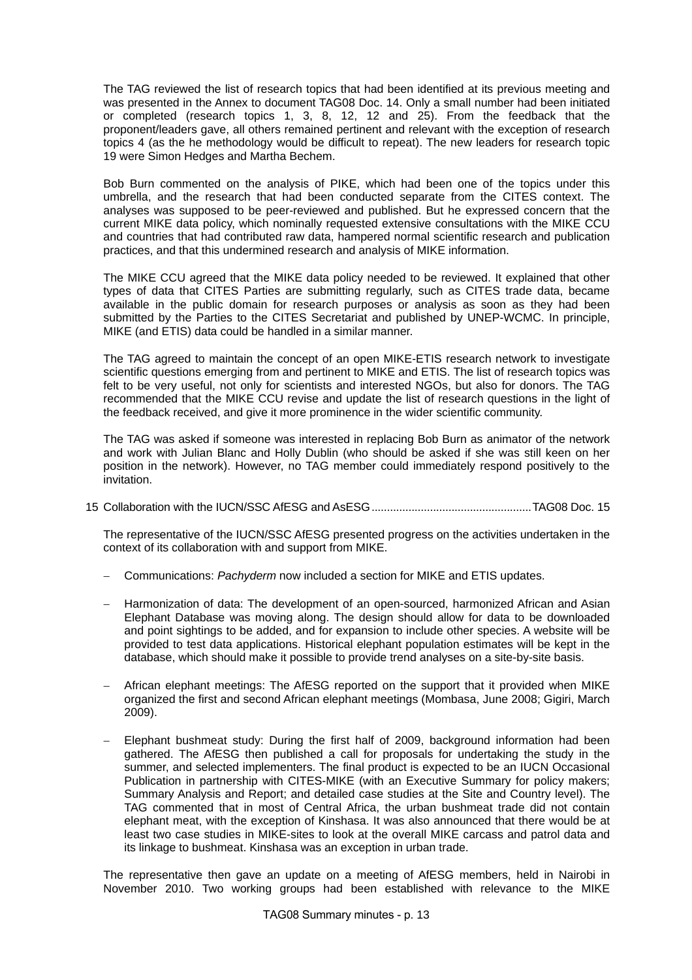The TAG reviewed the list of research topics that had been identified at its previous meeting and was presented in the Annex to document TAG08 Doc. 14. Only a small number had been initiated or completed (research topics 1, 3, 8, 12, 12 and 25). From the feedback that the proponent/leaders gave, all others remained pertinent and relevant with the exception of research topics 4 (as the he methodology would be difficult to repeat). The new leaders for research topic 19 were Simon Hedges and Martha Bechem.

Bob Burn commented on the analysis of PIKE, which had been one of the topics under this umbrella, and the research that had been conducted separate from the CITES context. The analyses was supposed to be peer-reviewed and published. But he expressed concern that the current MIKE data policy, which nominally requested extensive consultations with the MIKE CCU and countries that had contributed raw data, hampered normal scientific research and publication practices, and that this undermined research and analysis of MIKE information.

The MIKE CCU agreed that the MIKE data policy needed to be reviewed. It explained that other types of data that CITES Parties are submitting regularly, such as CITES trade data, became available in the public domain for research purposes or analysis as soon as they had been submitted by the Parties to the CITES Secretariat and published by UNEP-WCMC. In principle, MIKE (and ETIS) data could be handled in a similar manner.

The TAG agreed to maintain the concept of an open MIKE-ETIS research network to investigate scientific questions emerging from and pertinent to MIKE and ETIS. The list of research topics was felt to be very useful, not only for scientists and interested NGOs, but also for donors. The TAG recommended that the MIKE CCU revise and update the list of research questions in the light of the feedback received, and give it more prominence in the wider scientific community.

The TAG was asked if someone was interested in replacing Bob Burn as animator of the network and work with Julian Blanc and Holly Dublin (who should be asked if she was still keen on her position in the network). However, no TAG member could immediately respond positively to the invitation.

15 Collaboration with the IUCN/SSC AfESG and AsESG....................................................TAG08 Doc. 15

The representative of the IUCN/SSC AfESG presented progress on the activities undertaken in the context of its collaboration with and support from MIKE.

- − Communications: *Pachyderm* now included a section for MIKE and ETIS updates.
- − Harmonization of data: The development of an open-sourced, harmonized African and Asian Elephant Database was moving along. The design should allow for data to be downloaded and point sightings to be added, and for expansion to include other species. A website will be provided to test data applications. Historical elephant population estimates will be kept in the database, which should make it possible to provide trend analyses on a site-by-site basis.
- − African elephant meetings: The AfESG reported on the support that it provided when MIKE organized the first and second African elephant meetings (Mombasa, June 2008; Gigiri, March 2009).
- − Elephant bushmeat study: During the first half of 2009, background information had been gathered. The AfESG then published a call for proposals for undertaking the study in the summer, and selected implementers. The final product is expected to be an IUCN Occasional Publication in partnership with CITES-MIKE (with an Executive Summary for policy makers; Summary Analysis and Report; and detailed case studies at the Site and Country level). The TAG commented that in most of Central Africa, the urban bushmeat trade did not contain elephant meat, with the exception of Kinshasa. It was also announced that there would be at least two case studies in MIKE-sites to look at the overall MIKE carcass and patrol data and its linkage to bushmeat. Kinshasa was an exception in urban trade.

The representative then gave an update on a meeting of AfESG members, held in Nairobi in November 2010. Two working groups had been established with relevance to the MIKE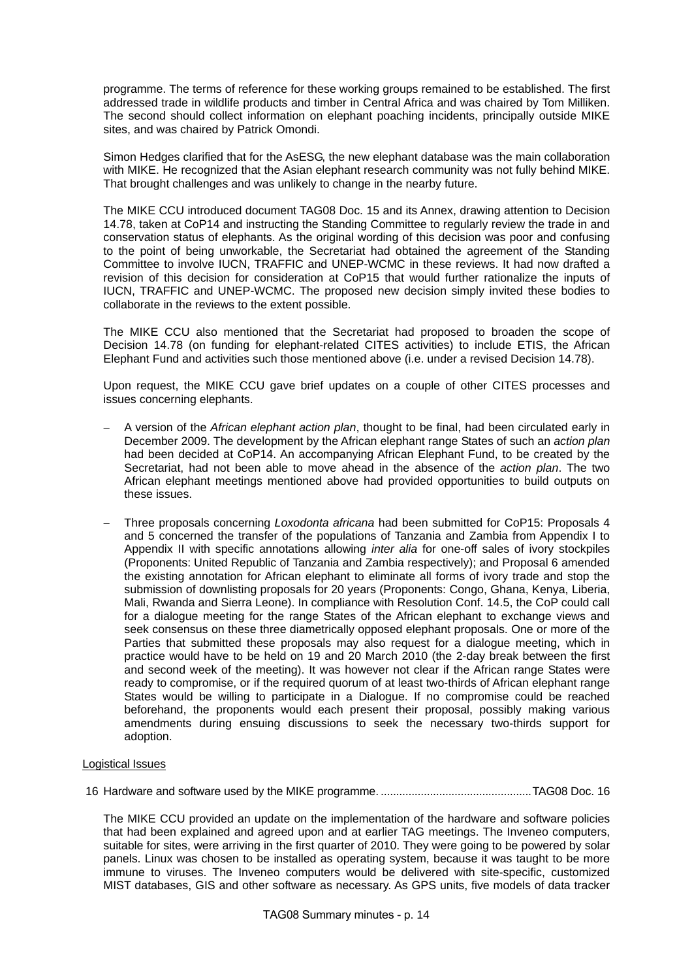programme. The terms of reference for these working groups remained to be established. The first addressed trade in wildlife products and timber in Central Africa and was chaired by Tom Milliken. The second should collect information on elephant poaching incidents, principally outside MIKE sites, and was chaired by Patrick Omondi.

Simon Hedges clarified that for the AsESG, the new elephant database was the main collaboration with MIKE. He recognized that the Asian elephant research community was not fully behind MIKE. That brought challenges and was unlikely to change in the nearby future.

The MIKE CCU introduced document TAG08 Doc. 15 and its Annex, drawing attention to Decision 14.78, taken at CoP14 and instructing the Standing Committee to regularly review the trade in and conservation status of elephants. As the original wording of this decision was poor and confusing to the point of being unworkable, the Secretariat had obtained the agreement of the Standing Committee to involve IUCN, TRAFFIC and UNEP-WCMC in these reviews. It had now drafted a revision of this decision for consideration at CoP15 that would further rationalize the inputs of IUCN, TRAFFIC and UNEP-WCMC. The proposed new decision simply invited these bodies to collaborate in the reviews to the extent possible.

The MIKE CCU also mentioned that the Secretariat had proposed to broaden the scope of Decision 14.78 (on funding for elephant-related CITES activities) to include ETIS, the African Elephant Fund and activities such those mentioned above (i.e. under a revised Decision 14.78).

Upon request, the MIKE CCU gave brief updates on a couple of other CITES processes and issues concerning elephants.

- − A version of the *African elephant action plan*, thought to be final, had been circulated early in December 2009. The development by the African elephant range States of such an *action plan* had been decided at CoP14. An accompanying African Elephant Fund, to be created by the Secretariat, had not been able to move ahead in the absence of the *action plan*. The two African elephant meetings mentioned above had provided opportunities to build outputs on these issues.
- − Three proposals concerning *Loxodonta africana* had been submitted for CoP15: Proposals 4 and 5 concerned the transfer of the populations of Tanzania and Zambia from Appendix I to Appendix II with specific annotations allowing *inter alia* for one-off sales of ivory stockpiles (Proponents: United Republic of Tanzania and Zambia respectively); and Proposal 6 amended the existing annotation for African elephant to eliminate all forms of ivory trade and stop the submission of downlisting proposals for 20 years (Proponents: Congo, Ghana, Kenya, Liberia, Mali, Rwanda and Sierra Leone). In compliance with Resolution Conf. 14.5, the CoP could call for a dialogue meeting for the range States of the African elephant to exchange views and seek consensus on these three diametrically opposed elephant proposals. One or more of the Parties that submitted these proposals may also request for a dialogue meeting, which in practice would have to be held on 19 and 20 March 2010 (the 2-day break between the first and second week of the meeting). It was however not clear if the African range States were ready to compromise, or if the required quorum of at least two-thirds of African elephant range States would be willing to participate in a Dialogue. If no compromise could be reached beforehand, the proponents would each present their proposal, possibly making various amendments during ensuing discussions to seek the necessary two-thirds support for adoption.

## Logistical Issues

16 Hardware and software used by the MIKE programme. .................................................TAG08 Doc. 16

The MIKE CCU provided an update on the implementation of the hardware and software policies that had been explained and agreed upon and at earlier TAG meetings. The Inveneo computers, suitable for sites, were arriving in the first quarter of 2010. They were going to be powered by solar panels. Linux was chosen to be installed as operating system, because it was taught to be more immune to viruses. The Inveneo computers would be delivered with site-specific, customized MIST databases, GIS and other software as necessary. As GPS units, five models of data tracker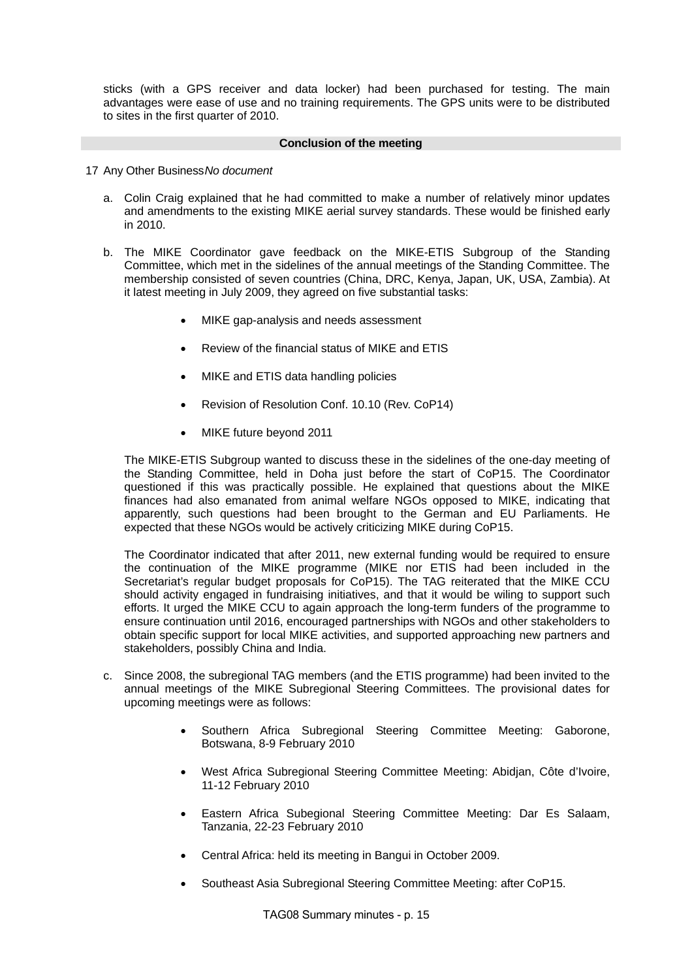sticks (with a GPS receiver and data locker) had been purchased for testing. The main advantages were ease of use and no training requirements. The GPS units were to be distributed to sites in the first quarter of 2010.

## **Conclusion of the meeting**

- 17 Any Other Business *No document*
	- a. Colin Craig explained that he had committed to make a number of relatively minor updates and amendments to the existing MIKE aerial survey standards. These would be finished early in 2010.
	- b. The MIKE Coordinator gave feedback on the MIKE-ETIS Subgroup of the Standing Committee, which met in the sidelines of the annual meetings of the Standing Committee. The membership consisted of seven countries (China, DRC, Kenya, Japan, UK, USA, Zambia). At it latest meeting in July 2009, they agreed on five substantial tasks:
		- MIKE gap-analysis and needs assessment
		- Review of the financial status of MIKE and ETIS
		- MIKE and ETIS data handling policies
		- Revision of Resolution Conf. 10.10 (Rev. CoP14)
		- MIKE future beyond 2011

The MIKE-ETIS Subgroup wanted to discuss these in the sidelines of the one-day meeting of the Standing Committee, held in Doha just before the start of CoP15. The Coordinator questioned if this was practically possible. He explained that questions about the MIKE finances had also emanated from animal welfare NGOs opposed to MIKE, indicating that apparently, such questions had been brought to the German and EU Parliaments. He expected that these NGOs would be actively criticizing MIKE during CoP15.

The Coordinator indicated that after 2011, new external funding would be required to ensure the continuation of the MIKE programme (MIKE nor ETIS had been included in the Secretariat's regular budget proposals for CoP15). The TAG reiterated that the MIKE CCU should activity engaged in fundraising initiatives, and that it would be wiling to support such efforts. It urged the MIKE CCU to again approach the long-term funders of the programme to ensure continuation until 2016, encouraged partnerships with NGOs and other stakeholders to obtain specific support for local MIKE activities, and supported approaching new partners and stakeholders, possibly China and India.

- c. Since 2008, the subregional TAG members (and the ETIS programme) had been invited to the annual meetings of the MIKE Subregional Steering Committees. The provisional dates for upcoming meetings were as follows:
	- Southern Africa Subregional Steering Committee Meeting: Gaborone, Botswana, 8-9 February 2010
	- West Africa Subregional Steering Committee Meeting: Abidjan, Côte d'Ivoire, 11-12 February 2010
	- Eastern Africa Subegional Steering Committee Meeting: Dar Es Salaam, Tanzania, 22-23 February 2010
	- Central Africa: held its meeting in Bangui in October 2009.
	- Southeast Asia Subregional Steering Committee Meeting: after CoP15.